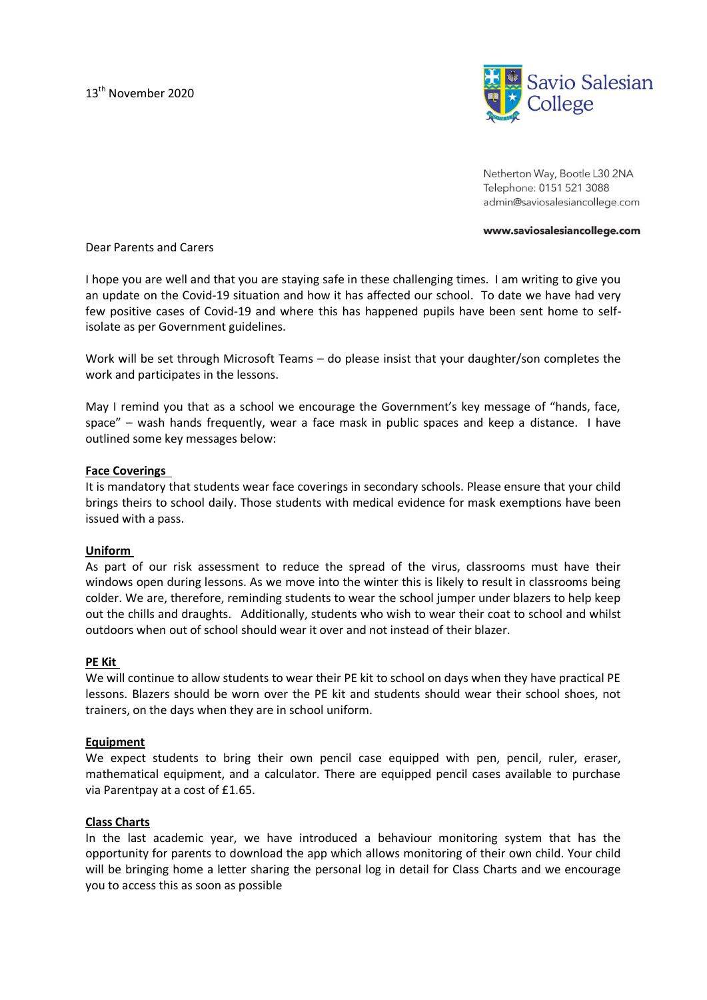

Netherton Way, Bootle L30 2NA Telephone: 0151 521 3088 admin@saviosalesiancollege.com

#### www.saviosalesiancollege.com

Dear Parents and Carers

I hope you are well and that you are staying safe in these challenging times. I am writing to give you an update on the Covid-19 situation and how it has affected our school. To date we have had very few positive cases of Covid-19 and where this has happened pupils have been sent home to selfisolate as per Government guidelines.

Work will be set through Microsoft Teams – do please insist that your daughter/son completes the work and participates in the lessons.

May I remind you that as a school we encourage the Government's key message of "hands, face, space" – wash hands frequently, wear a face mask in public spaces and keep a distance. I have outlined some key messages below:

## **Face Coverings**

It is mandatory that students wear face coverings in secondary schools. Please ensure that your child brings theirs to school daily. Those students with medical evidence for mask exemptions have been issued with a pass.

## **Uniform**

As part of our risk assessment to reduce the spread of the virus, classrooms must have their windows open during lessons. As we move into the winter this is likely to result in classrooms being colder. We are, therefore, reminding students to wear the school jumper under blazers to help keep out the chills and draughts. Additionally, students who wish to wear their coat to school and whilst outdoors when out of school should wear it over and not instead of their blazer.

### **PE Kit**

We will continue to allow students to wear their PE kit to school on days when they have practical PE lessons. Blazers should be worn over the PE kit and students should wear their school shoes, not trainers, on the days when they are in school uniform.

## **Equipment**

We expect students to bring their own pencil case equipped with pen, pencil, ruler, eraser, mathematical equipment, and a calculator. There are equipped pencil cases available to purchase via Parentpay at a cost of £1.65.

### **Class Charts**

In the last academic year, we have introduced a behaviour monitoring system that has the opportunity for parents to download the app which allows monitoring of their own child. Your child will be bringing home a letter sharing the personal log in detail for Class Charts and we encourage you to access this as soon as possible